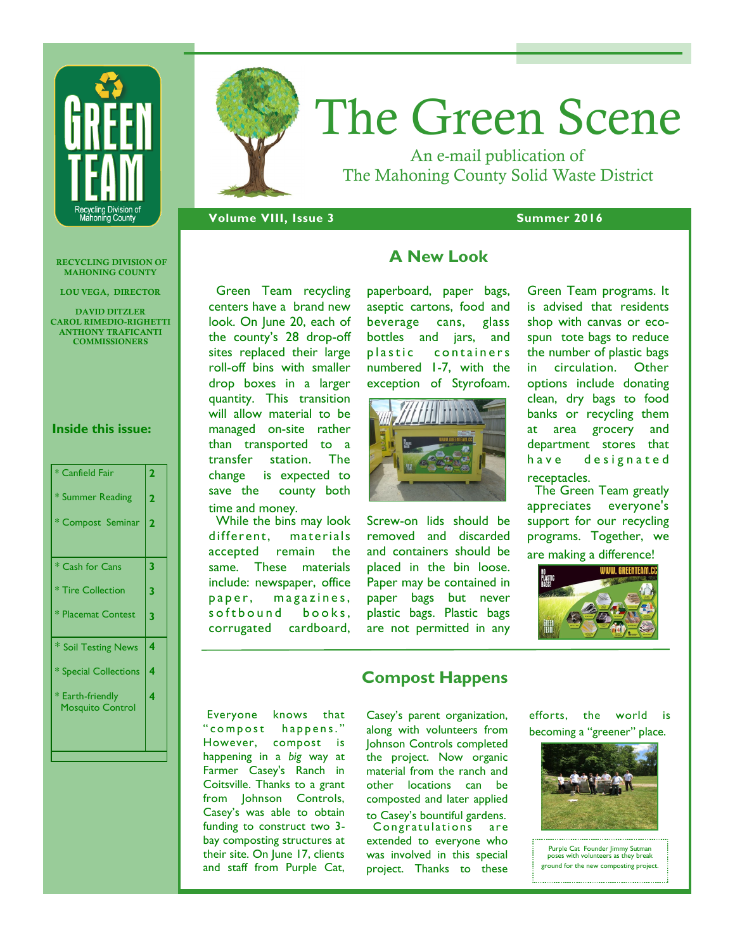

# The Green Scene

An e-mail publication of The Mahoning County Solid Waste District

**Volume VIII, Issue 3 Summer 2016** 

**RECYCLING DIVISION OF MAHONING COUNTY**

**LOU VEGA, DIRECTOR**

**DAVID DITZLER CAROL RIMEDIO-RIGHETTI ANTHONY TRAFICANTI COMMISSIONERS**

#### **Inside this issue:**

| * Canfield Fair                             | $\overline{2}$ |
|---------------------------------------------|----------------|
| * Summer Reading                            | $\overline{2}$ |
| * Compost Seminar                           | $\overline{2}$ |
|                                             |                |
| * Cash for Cans                             | 3              |
| * Tire Collection                           | 3              |
| * Placemat Contest                          | 3              |
| * Soil Testing News                         | 4              |
| * Special Collections                       | 4              |
| * Earth-friendly<br><b>Mosquito Control</b> | 4              |
|                                             |                |

 Green Team recycling centers have a brand new look. On June 20, each of the county's 28 drop-off sites replaced their large roll-off bins with smaller drop boxes in a larger quantity. This transition will allow material to be managed on-site rather than transported to a transfer station. The change is expected to save the county both time and money.

While the bins may look different, materials accepted remain the same. These materials include: newspaper, office paper, magazines, s of thound books. corrugated cardboard,

# **A New Look**

paperboard, paper bags, aseptic cartons, food and beverage cans, glass bottles and jars, and plastic containers numbered 1-7, with the exception of Styrofoam.



Screw-on lids should be removed and discarded and containers should be placed in the bin loose. Paper may be contained in paper bags but never plastic bags. Plastic bags are not permitted in any Green Team programs. It is advised that residents shop with canvas or ecospun tote bags to reduce the number of plastic bags in circulation. Other options include donating clean, dry bags to food banks or recycling them at area grocery and department stores that have designated receptacles.

 The Green Team greatly appreciates everyone's support for our recycling programs. Together, we

are making a difference!



Everyone knows that " compost happens." However, compost is happening in a *big* way at Farmer Casey's Ranch in Coitsville. Thanks to a grant from Johnson Controls, Casey's was able to obtain funding to construct two 3 bay composting structures at their site. On June 17, clients and staff from Purple Cat,

# **Compost Happens**

Casey's parent organization, along with volunteers from Johnson Controls completed the project. Now organic material from the ranch and other locations can be composted and later applied to Casey's bountiful gardens. Congratulations are extended to everyone who was involved in this special project. Thanks to these

efforts, the world is becoming a "greener" place.



Purple Cat Founder Jimmy Sutman poses with volunteers as they break ground for the new composting project.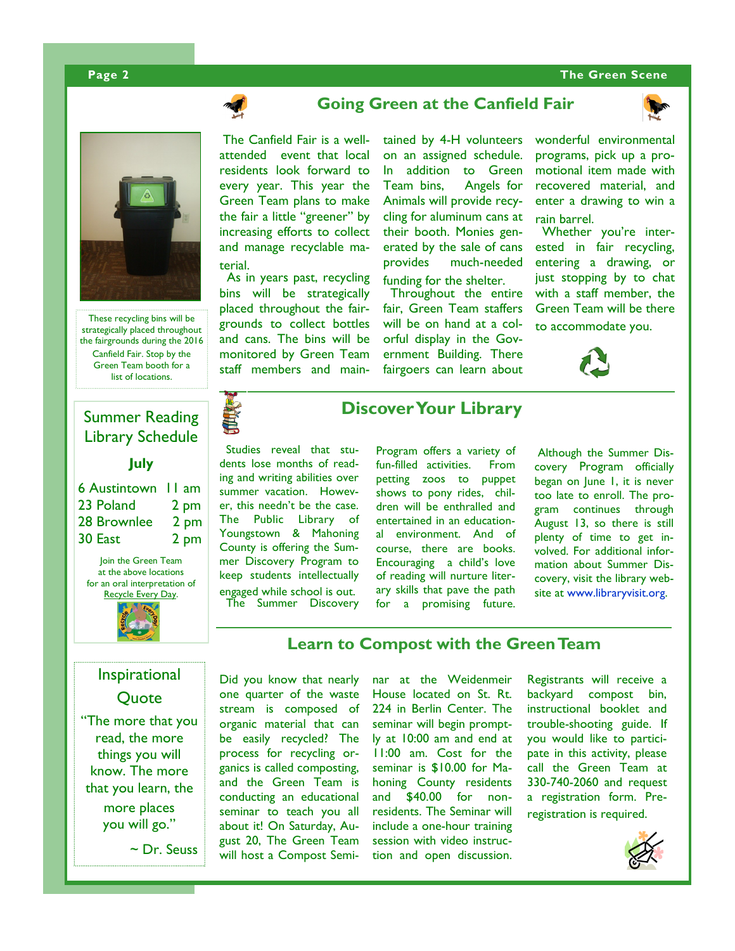#### **Page 2 The Green Scene**



These recycling bins will be strategically placed throughout the fairgrounds during the 2016 Canfield Fair. Stop by the Green Team booth for a list of locations.

# Summer Reading Library Schedule

#### **July**

| <b>6 Austintown</b> 11 am |
|---------------------------|
| 2 pm                      |
| 2 pm                      |
| 2 pm                      |
|                           |

Join the Green Team at the above locations for an oral interpretation of Recycle Every Day.



# Inspirational Quote

"The more that you read, the more things you will know. The more that you learn, the more places you will go."

~ Dr. Seuss

# **Going Green at the Canfield Fair**

The Canfield Fair is a wellattended event that local residents look forward to every year. This year the Green Team plans to make the fair a little "greener" by increasing efforts to collect and manage recyclable material.

 As in years past, recycling bins will be strategically placed throughout the fairgrounds to collect bottles and cans. The bins will be monitored by Green Team staff members and main-

tained by 4-H volunteers on an assigned schedule. In addition to Green Team bins, Angels for Animals will provide recycling for aluminum cans at their booth. Monies generated by the sale of cans provides much-needed funding for the shelter.

 Throughout the entire fair, Green Team staffers will be on hand at a colorful display in the Government Building. There fairgoers can learn about



Whether you're interested in fair recycling, entering a drawing, or just stopping by to chat with a staff member, the Green Team will be there to accommodate you.





# **Discover Your Library**

 Studies reveal that students lose months of reading and writing abilities over summer vacation. However, this needn't be the case. The Public Library of Youngstown & Mahoning County is offering the Summer Discovery Program to keep students intellectually engaged while school is out. The Summer Discovery Program offers a variety of fun-filled activities. From petting zoos to puppet shows to pony rides, children will be enthralled and entertained in an educational environment. And of course, there are books. Encouraging a child's love of reading will nurture literary skills that pave the path for a promising future.

Although the Summer Discovery Program officially began on June 1, it is never too late to enroll. The program continues through August 13, so there is still plenty of time to get involved. For additional information about Summer Discovery, visit the library website at www.libraryvisit.org.

# **Learn to Compost with the Green Team**

Did you know that nearly one quarter of the waste stream is composed of organic material that can be easily recycled? The process for recycling organics is called composting, and the Green Team is conducting an educational seminar to teach you all about it! On Saturday, August 20, The Green Team will host a Compost Seminar at the Weidenmeir House located on St. Rt. 224 in Berlin Center. The seminar will begin promptly at 10:00 am and end at 11:00 am. Cost for the seminar is \$10.00 for Mahoning County residents and \$40.00 for nonresidents. The Seminar will include a one-hour training session with video instruction and open discussion.

Registrants will receive a backyard compost bin, instructional booklet and trouble-shooting guide. If you would like to participate in this activity, please call the Green Team at 330-740-2060 and request a registration form. Preregistration is required.

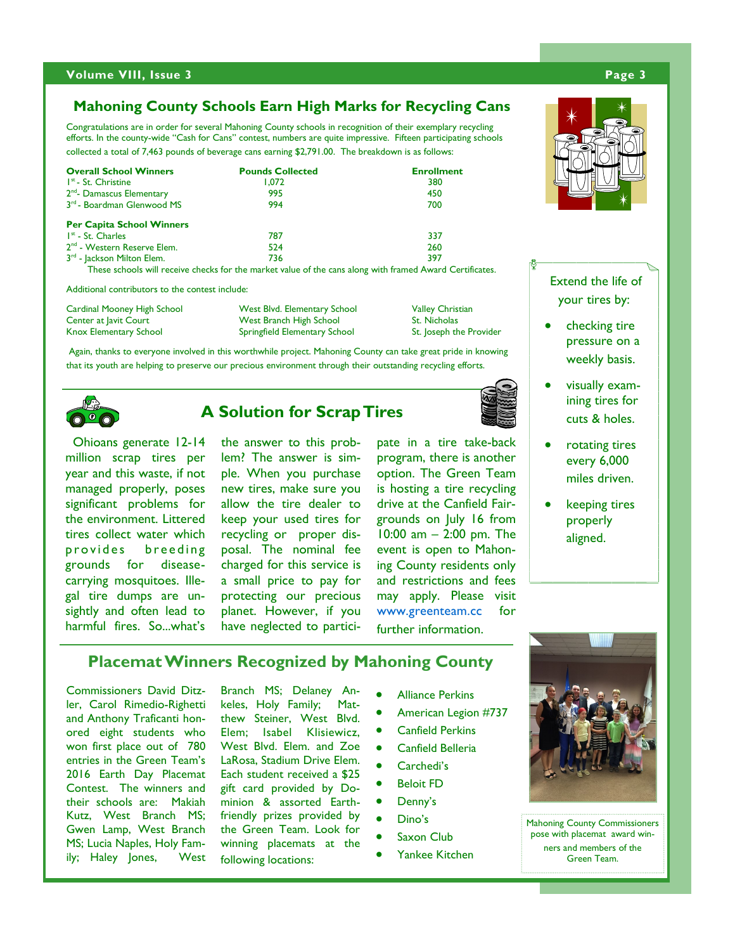#### **Volume VIII, Issue 3 Page 3**

### **Mahoning County Schools Earn High Marks for Recycling Cans**

Congratulations are in order for several Mahoning County schools in recognition of their exemplary recycling efforts. In the county-wide "Cash for Cans" contest, numbers are quite impressive. Fifteen participating schools collected a total of 7,463 pounds of beverage cans earning \$2,791.00. The breakdown is as follows:

| <b>Overall School Winners</b>           | <b>Pounds Collected</b>                                                                                  | <b>Enrollment</b> |
|-----------------------------------------|----------------------------------------------------------------------------------------------------------|-------------------|
| $Ist$ - St. Christine                   | 1.072                                                                                                    | 380               |
| 2 <sup>nd</sup> - Damascus Elementary   | 995                                                                                                      | 450               |
| 3 <sup>rd</sup> - Boardman Glenwood MS  | 994                                                                                                      | 700               |
| <b>Per Capita School Winners</b>        |                                                                                                          |                   |
| $Ist$ - St. Charles                     | 787                                                                                                      | 337               |
| 2 <sup>nd</sup> - Western Reserve Elem. | 524                                                                                                      | 260               |
| 3 <sup>rd</sup> - Jackson Milton Elem.  | 736                                                                                                      | 397               |
|                                         | These schools will receive checks for the market value of the cans along with framed Award Certificates. |                   |

Additional contributors to the contest include:

| Cardinal Mooney High School | West Blvd. Elementary School  | <b>Valley Christian</b> |
|-----------------------------|-------------------------------|-------------------------|
| Center at Javit Court       | West Branch High School       | <b>St. Nicholas</b>     |
| Knox Elementary School      | Springfield Elementary School | St. Joseph the Provider |

 Again, thanks to everyone involved in this worthwhile project. Mahoning County can take great pride in knowing that its youth are helping to preserve our precious environment through their outstanding recycling efforts.



 Ohioans generate 12-14 million scrap tires per year and this waste, if not managed properly, poses significant problems for the environment. Littered tires collect water which provides breeding grounds for diseasecarrying mosquitoes. Illegal tire dumps are unsightly and often lead to harmful fires. So...what's

 **A Solution for Scrap Tires**

the answer to this problem? The answer is simple. When you purchase new tires, make sure you allow the tire dealer to keep your used tires for recycling or proper disposal. The nominal fee charged for this service is a small price to pay for protecting our precious planet. However, if you have neglected to partici-

pate in a tire take-back program, there is another option. The Green Team is hosting a tire recycling drive at the Canfield Fairgrounds on July 16 from 10:00 am – 2:00 pm. The event is open to Mahoning County residents only and restrictions and fees may apply. Please visit www.greenteam.cc for further information.



Extend the life of your tires by:

- checking tire pressure on a weekly basis.
- visually examining tires for cuts & holes.
- rotating tires every 6,000 miles driven.
- keeping tires properly aligned.

**Placemat Winners Recognized by Mahoning County** 

Commissioners David Ditzler, Carol Rimedio-Righetti and Anthony Traficanti honored eight students who won first place out of 780 entries in the Green Team's 2016 Earth Day Placemat Contest. The winners and their schools are: Makiah Kutz, West Branch MS; Gwen Lamp, West Branch MS; Lucia Naples, Holy Family; Haley Jones, West

Branch MS; Delaney Ankeles, Holy Family; Matthew Steiner, West Blvd. Elem; Isabel Klisiewicz, West Blvd. Elem. and Zoe LaRosa, Stadium Drive Elem. Each student received a \$25 gift card provided by Dominion & assorted Earthfriendly prizes provided by the Green Team. Look for winning placemats at the following locations:

- Alliance Perkins
- American Legion #737
- Canfield Perkins
- Canfield Belleria
- Carchedi's
- Beloit FD
- Denny's
- Dino's
- Saxon Club
- Yankee Kitchen



Mahoning County Commissioners pose with placemat award winners and members of the Green Team.